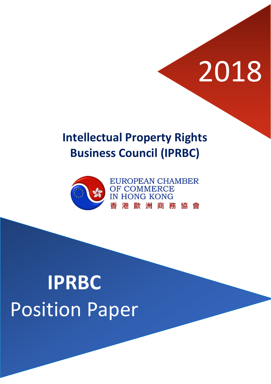# 2018

### **Intellectual Property Rights Business Council (IPRBC)**



## **IPRBC** Position Paper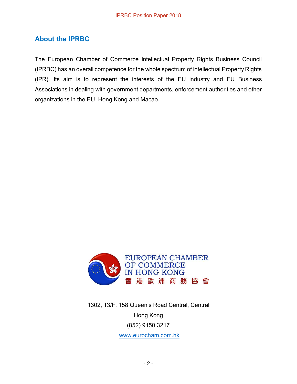#### **About the IPRBC**

The European Chamber of Commerce Intellectual Property Rights Business Council (IPRBC) has an overall competence for the whole spectrum of intellectual Property Rights (IPR). Its aim is to represent the interests of the EU industry and EU Business Associations in dealing with government departments, enforcement authorities and other organizations in the EU, Hong Kong and Macao.



1302, 13/F, 158 Queen's Road Central, Central Hong Kong (852) 9150 3217 [www.eurocham.com.hk](http://www.eurocham.com.hk/)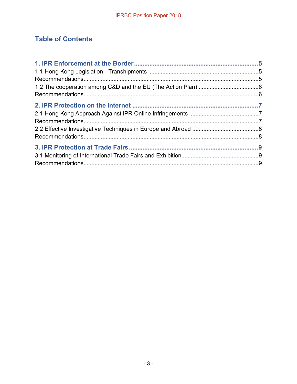#### **Table of Contents**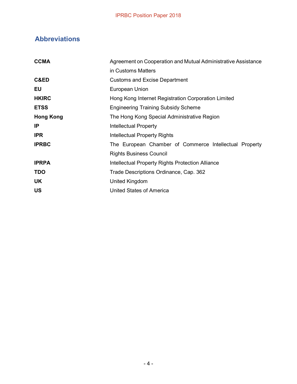#### **Abbreviations**

| <b>CCMA</b>      | Agreement on Cooperation and Mutual Administrative Assistance |
|------------------|---------------------------------------------------------------|
|                  | in Customs Matters                                            |
| C&ED             | <b>Customs and Excise Department</b>                          |
| EU               | European Union                                                |
| <b>HKIRC</b>     | Hong Kong Internet Registration Corporation Limited           |
| <b>ETSS</b>      | <b>Engineering Training Subsidy Scheme</b>                    |
| <b>Hong Kong</b> | The Hong Kong Special Administrative Region                   |
| IP               | <b>Intellectual Property</b>                                  |
| <b>IPR</b>       | Intellectual Property Rights                                  |
| <b>IPRBC</b>     | The European Chamber of Commerce Intellectual Property        |
|                  | <b>Rights Business Council</b>                                |
| <b>IPRPA</b>     | Intellectual Property Rights Protection Alliance              |
| <b>TDO</b>       | Trade Descriptions Ordinance, Cap. 362                        |
| <b>UK</b>        | United Kingdom                                                |
| <b>US</b>        | United States of America                                      |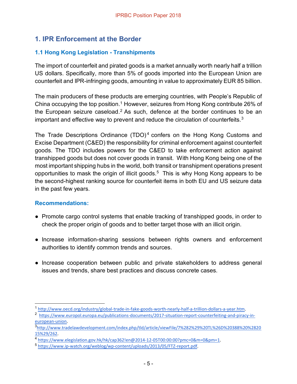#### **1. IPR Enforcement at the Border**

#### **1.1 Hong Kong Legislation - Transhipments**

The import of counterfeit and pirated goods is a market annually worth nearly half a trillion US dollars. Specifically, more than 5% of goods imported into the European Union are counterfeit and IPR-infringing goods, amounting in value to approximately EUR 85 billion.

The main producers of these products are emerging countries, with People's Republic of China occupying the top position.<sup>1</sup> However, seizures from Hong Kong contribute 26% of the European seizure caseload.<sup>2</sup> As such, defence at the border continues to be an important and effective way to prevent and reduce the circulation of counterfeits.3

The Trade Descriptions Ordinance (TDO)<sup>4</sup> confers on the Hong Kong Customs and Excise Department (C&ED) the responsibility for criminal enforcement against counterfeit goods. The TDO includes powers for the C&ED to take enforcement action against transhipped goods but does not cover goods in transit. With Hong Kong being one of the most important shipping hubs in the world, both transit or transhipment operations present opportunities to mask the origin of illicit goods.<sup>5</sup> This is why Hong Kong appears to be the second-highest ranking source for counterfeit items in both EU and US seizure data in the past few years.

- Promote cargo control systems that enable tracking of transhipped goods, in order to check the proper origin of goods and to better target those with an illicit origin.
- Increase information-sharing sessions between rights owners and enforcement authorities to identify common trends and sources.
- Increase cooperation between public and private stakeholders to address general issues and trends, share best practices and discuss concrete cases.

 <sup>1</sup> [http://www.oecd.org/industry/global-trade-in-fake-goods-worth-nearly-half-a-trillion-dollars-a-year.htm.](http://www.oecd.org/industry/global-trade-in-fake-goods-worth-nearly-half-a-trillion-dollars-a-year.htm)

<sup>2</sup> [https://www.europol.europa.eu/publications-documents/2017-situation-report-counterfeiting-and-piracy-in](https://www.europol.europa.eu/publications-documents/2017-situation-report-counterfeiting-and-piracy-in-european-union)[european-union.](https://www.europol.europa.eu/publications-documents/2017-situation-report-counterfeiting-and-piracy-in-european-union)

<sup>3</sup> [http://www.tradelawdevelopment.com/index.php/tld/article/viewFile/7%282%29%20TL%26D%20388%20%2820](http://www.tradelawdevelopment.com/index.php/tld/article/viewFile/7%282%29%20TL%26D%20388%20%282015%29/262) [15%29/262.](http://www.tradelawdevelopment.com/index.php/tld/article/viewFile/7%282%29%20TL%26D%20388%20%282015%29/262) 

<sup>4</sup> [https://www.elegislation.gov.hk/hk/cap362!en@2014-12-05T00:00:00?pmc=0&m=0&pm=1.](https://www.elegislation.gov.hk/hk/cap362!en@2014-12-05T00:00:00?pmc=0&m=0&pm=1) 

<sup>5</sup> [https://www.ip-watch.org/weblog/wp-content/uploads/2013/05/FTZ-report.pdf.](https://www.ip-watch.org/weblog/wp-content/uploads/2013/05/FTZ-report.pdf)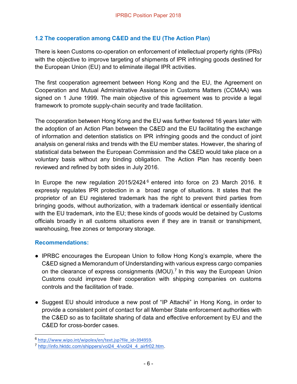#### **1.2 The cooperation among C&ED and the EU (The Action Plan)**

There is keen Customs co-operation on enforcement of intellectual property rights (IPRs) with the objective to improve targeting of shipments of IPR infringing goods destined for the European Union (EU) and to eliminate illegal IPR activities.

The first cooperation agreement between Hong Kong and the EU, the Agreement on Cooperation and Mutual Administrative Assistance in Customs Matters (CCMAA) was signed on 1 June 1999. The main objective of this agreement was to provide a legal framework to promote supply-chain security and trade facilitation.

The cooperation between Hong Kong and the EU was further fostered 16 years later with the adoption of an Action Plan between the C&ED and the EU facilitating the exchange of information and detention statistics on IPR infringing goods and the conduct of joint analysis on general risks and trends with the EU member states. However, the sharing of statistical data between the European Commission and the C&ED would take place on a voluntary basis without any binding obligation. The Action Plan has recently been reviewed and refined by both sides in July 2016.

In Europe the new regulation  $2015/2424^6$  entered into force on 23 March 2016. It expressly regulates IPR protection in a broad range of situations. It states that the proprietor of an EU registered trademark has the right to prevent third parties from bringing goods, without authorization, with a trademark identical or essentially identical with the EU trademark, into the EU; these kinds of goods would be detained by Customs officials broadly in all customs situations even if they are in transit or transhipment, warehousing, free zones or temporary storage.

- IPRBC encourages the European Union to follow Hong Kong's example, where the C&ED signed a Memorandum of Understanding with various express cargo companies on the clearance of express consignments (MOU).<sup>7</sup> In this way the European Union Customs could improve their cooperation with shipping companies on customs controls and the facilitation of trade.
- Suggest EU should introduce a new post of "IP Attaché" in Hong Kong, in order to provide a consistent point of contact for all Member State enforcement authorities with the C&ED so as to facilitate sharing of data and effective enforcement by EU and the C&ED for cross-border cases.

 <sup>6</sup> [http://www.wipo.int/wipolex/en/text.jsp?file\\_id=394959.](http://www.wipo.int/wipolex/en/text.jsp?file_id=394959)

<sup>7</sup> [http://info.hktdc.com/shippers/vol24\\_4/vol24\\_4\\_airfr02.htm.](http://info.hktdc.com/shippers/vol24_4/vol24_4_airfr02.htm)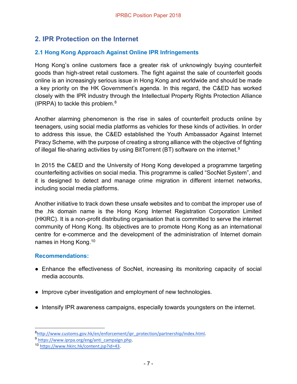#### **2. IPR Protection on the Internet**

#### **2.1 Hong Kong Approach Against Online IPR Infringements**

Hong Kong's online customers face a greater risk of unknowingly buying counterfeit goods than high-street retail customers. The fight against the sale of counterfeit goods online is an increasingly serious issue in Hong Kong and worldwide and should be made a key priority on the HK Government's agenda. In this regard, the C&ED has worked closely with the IPR industry through the Intellectual Property Rights Protection Alliance (IPRPA) to tackle this problem. $8<sup>8</sup>$ 

Another alarming phenomenon is the rise in sales of counterfeit products online by teenagers, using social media platforms as vehicles for these kinds of activities. In order to address this issue, the C&ED established the Youth Ambassador Against Internet Piracy Scheme, with the purpose of creating a strong alliance with the objective of fighting of illegal file-sharing activities by using BitTorrent (BT) software on the internet.9

In 2015 the C&ED and the University of Hong Kong developed a programme targeting counterfeiting activities on social media. This programme is called "SocNet System", and it is designed to detect and manage crime migration in different internet networks, including social media platforms.

Another initiative to track down these unsafe websites and to combat the improper use of the .hk domain name is the Hong Kong Internet Registration Corporation Limited (HKIRC). It is a non-profit distributing organisation that is committed to serve the internet community of Hong Kong. Its objectives are to promote Hong Kong as an international centre for e-commerce and the development of the administration of Internet domain names in Hong Kong.10

- Enhance the effectiveness of SocNet, increasing its monitoring capacity of social media accounts.
- Improve cyber investigation and employment of new technologies.
- Intensify IPR awareness campaigns, especially towards youngsters on the internet.

<sup>8&</sup>lt;br>Attp://www.customs.gov.hk/en/enforcement/ipr\_protection/partnership/index.html

<sup>9</sup> [https://www.iprpa.org/eng/anti\\_campaign.php.](https://www.iprpa.org/eng/anti_campaign.php)

<sup>10</sup> [https://www.hkirc.hk/content.jsp?id=43.](https://www.hkirc.hk/content.jsp?id=43)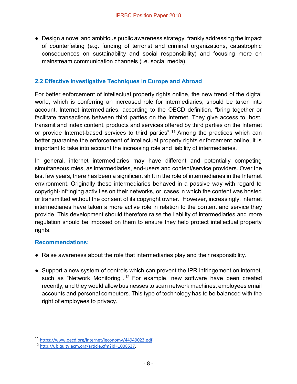• Design a novel and ambitious public awareness strategy, frankly addressing the impact of counterfeiting (e.g. funding of terrorist and criminal organizations, catastrophic consequences on sustainability and social responsibility) and focusing more on mainstream communication channels (i.e. social media).

#### **2.2 Effective investigative Techniques in Europe and Abroad**

For better enforcement of intellectual property rights online, the new trend of the digital world, which is conferring an increased role for intermediaries, should be taken into account. Internet intermediaries, according to the OECD definition, "bring together or facilitate transactions between third parties on the Internet. They give access to, host, transmit and index content, products and services offered by third parties on the Internet or provide Internet-based services to third parties".<sup>11</sup> Among the practices which can better guarantee the enforcement of intellectual property rights enforcement online, it is important to take into account the increasing role and liability of intermediaries.

In general, internet intermediaries may have different and potentially competing simultaneous roles, as intermediaries, end-users and content/service providers. Over the last few years, there has been a significant shift in the role of intermediaries in the Internet environment. Originally these intermediaries behaved in a passive way with regard to copyright-infringing activities on their networks, or cases in which the content was hosted or transmitted without the consent of its copyright owner. However, increasingly, internet intermediaries have taken a more active role in relation to the content and service they provide. This development should therefore raise the liability of intermediaries and more regulation should be imposed on them to ensure they help protect intellectual property rights.

- Raise awareness about the role that intermediaries play and their responsibility.
- Support a new system of controls which can prevent the IPR infringement on internet, such as "Network Monitoring". <sup>12</sup> For example, new software have been created recently, and they would allow businesses to scan network machines, employees email accounts and personal computers. This type of technology has to be balanced with the right of employees to privacy.

 <sup>11</sup> [https://www.oecd.org/internet/ieconomy/44949023.pdf.](https://www.oecd.org/internet/ieconomy/44949023.pdf)

<sup>12</sup> [http://ubiquity.acm.org/article.cfm?id=1008537.](http://ubiquity.acm.org/article.cfm?id=1008537)